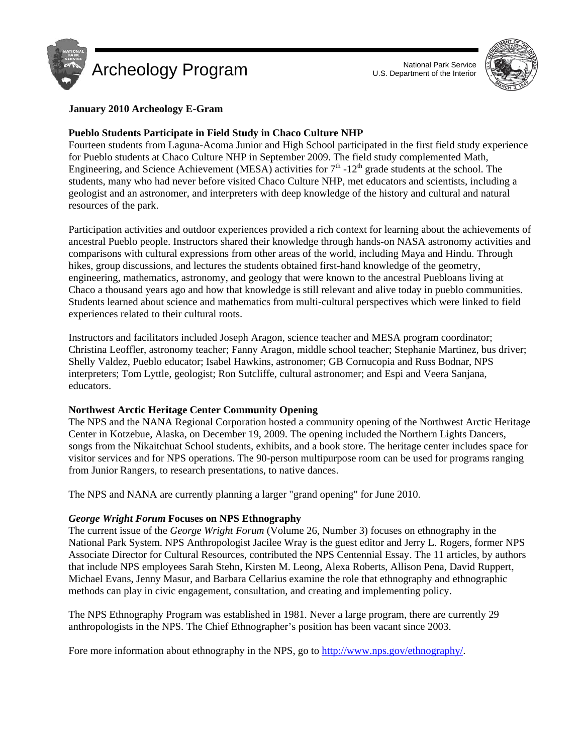



# **January 2010 Archeology E-Gram**

# **Pueblo Students Participate in Field Study in Chaco Culture NHP**

Fourteen students from Laguna-Acoma Junior and High School participated in the first field study experience for Pueblo students at Chaco Culture NHP in September 2009. The field study complemented Math, Engineering, and Science Achievement (MESA) activities for  $7<sup>th</sup>$  -12<sup>th</sup> grade students at the school. The students, many who had never before visited Chaco Culture NHP, met educators and scientists, including a geologist and an astronomer, and interpreters with deep knowledge of the history and cultural and natural resources of the park.

Participation activities and outdoor experiences provided a rich context for learning about the achievements of ancestral Pueblo people. Instructors shared their knowledge through hands-on NASA astronomy activities and comparisons with cultural expressions from other areas of the world, including Maya and Hindu. Through hikes, group discussions, and lectures the students obtained first-hand knowledge of the geometry, engineering, mathematics, astronomy, and geology that were known to the ancestral Puebloans living at Chaco a thousand years ago and how that knowledge is still relevant and alive today in pueblo communities. Students learned about science and mathematics from multi-cultural perspectives which were linked to field experiences related to their cultural roots.

Instructors and facilitators included Joseph Aragon, science teacher and MESA program coordinator; Christina Leoffler, astronomy teacher; Fanny Aragon, middle school teacher; Stephanie Martinez, bus driver; Shelly Valdez, Pueblo educator; Isabel Hawkins, astronomer; GB Cornucopia and Russ Bodnar, NPS interpreters; Tom Lyttle, geologist; Ron Sutcliffe, cultural astronomer; and Espi and Veera Sanjana, educators.

### **Northwest Arctic Heritage Center Community Opening**

The NPS and the NANA Regional Corporation hosted a community opening of the Northwest Arctic Heritage Center in Kotzebue, Alaska, on December 19, 2009. The opening included the Northern Lights Dancers, songs from the Nikaitchuat School students, exhibits, and a book store. The heritage center includes space for visitor services and for NPS operations. The 90-person multipurpose room can be used for programs ranging from Junior Rangers, to research presentations, to native dances.

The NPS and NANA are currently planning a larger "grand opening" for June 2010.

# *George Wright Forum* **Focuses on NPS Ethnography**

The current issue of the *George Wright Forum* (Volume 26, Number 3) focuses on ethnography in the National Park System. NPS Anthropologist Jacilee Wray is the guest editor and Jerry L. Rogers, former NPS Associate Director for Cultural Resources, contributed the NPS Centennial Essay. The 11 articles, by authors that include NPS employees Sarah Stehn, Kirsten M. Leong, Alexa Roberts, Allison Pena, David Ruppert, Michael Evans, Jenny Masur, and Barbara Cellarius examine the role that ethnography and ethnographic methods can play in civic engagement, consultation, and creating and implementing policy.

The NPS Ethnography Program was established in 1981. Never a large program, there are currently 29 anthropologists in the NPS. The Chief Ethnographer's position has been vacant since 2003.

Fore more information about ethnography in the NPS, go to http://www.nps.gov/ethnography/.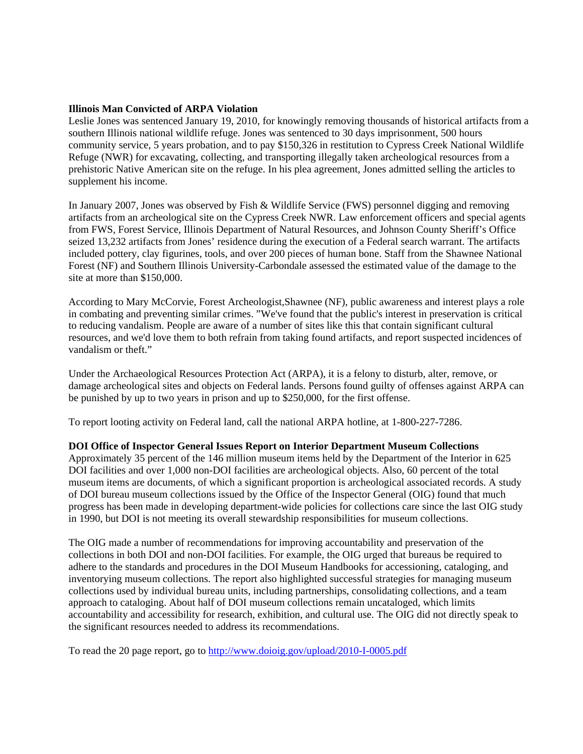#### **Illinois Man Convicted of ARPA Violation**

Leslie Jones was sentenced January 19, 2010, for knowingly removing thousands of historical artifacts from a southern Illinois national wildlife refuge. Jones was sentenced to 30 days imprisonment, 500 hours community service, 5 years probation, and to pay \$150,326 in restitution to Cypress Creek National Wildlife Refuge (NWR) for excavating, collecting, and transporting illegally taken archeological resources from a prehistoric Native American site on the refuge. In his plea agreement, Jones admitted selling the articles to supplement his income.

In January 2007, Jones was observed by Fish & Wildlife Service (FWS) personnel digging and removing artifacts from an archeological site on the Cypress Creek NWR. Law enforcement officers and special agents from FWS, Forest Service, Illinois Department of Natural Resources, and Johnson County Sheriff's Office seized 13,232 artifacts from Jones' residence during the execution of a Federal search warrant. The artifacts included pottery, clay figurines, tools, and over 200 pieces of human bone. Staff from the Shawnee National Forest (NF) and Southern Illinois University-Carbondale assessed the estimated value of the damage to the site at more than \$150,000.

According to Mary McCorvie, Forest Archeologist,Shawnee (NF), public awareness and interest plays a role in combating and preventing similar crimes. "We've found that the public's interest in preservation is critical to reducing vandalism. People are aware of a number of sites like this that contain significant cultural resources, and we'd love them to both refrain from taking found artifacts, and report suspected incidences of vandalism or theft."

Under the Archaeological Resources Protection Act (ARPA), it is a felony to disturb, alter, remove, or damage archeological sites and objects on Federal lands. Persons found guilty of offenses against ARPA can be punished by up to two years in prison and up to \$250,000, for the first offense.

To report looting activity on Federal land, call the national ARPA hotline, at 1-800-227-7286.

### **DOI Office of Inspector General Issues Report on Interior Department Museum Collections**

Approximately 35 percent of the 146 million museum items held by the Department of the Interior in 625 DOI facilities and over 1,000 non-DOI facilities are archeological objects. Also, 60 percent of the total museum items are documents, of which a significant proportion is archeological associated records. A study of DOI bureau museum collections issued by the Office of the Inspector General (OIG) found that much progress has been made in developing department-wide policies for collections care since the last OIG study in 1990, but DOI is not meeting its overall stewardship responsibilities for museum collections.

The OIG made a number of recommendations for improving accountability and preservation of the collections in both DOI and non-DOI facilities. For example, the OIG urged that bureaus be required to adhere to the standards and procedures in the DOI Museum Handbooks for accessioning, cataloging, and inventorying museum collections. The report also highlighted successful strategies for managing museum collections used by individual bureau units, including partnerships, consolidating collections, and a team approach to cataloging. About half of DOI museum collections remain uncataloged, which limits accountability and accessibility for research, exhibition, and cultural use. The OIG did not directly speak to the significant resources needed to address its recommendations.

To read the 20 page report, go to http://www.doioig.gov/upload/2010-I-0005.pdf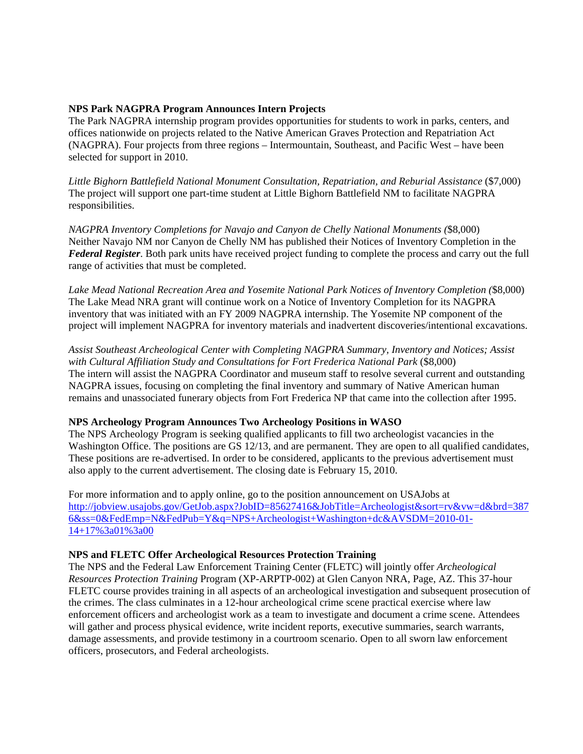#### **NPS Park NAGPRA Program Announces Intern Projects**

The Park NAGPRA internship program provides opportunities for students to work in parks, centers, and offices nationwide on projects related to the Native American Graves Protection and Repatriation Act (NAGPRA). Four projects from three regions – Intermountain, Southeast, and Pacific West – have been selected for support in 2010.

*Little Bighorn Battlefield National Monument Consultation, Repatriation, and Reburial Assistance* (\$7,000) The project will support one part-time student at Little Bighorn Battlefield NM to facilitate NAGPRA responsibilities.

*NAGPRA Inventory Completions for Navajo and Canyon de Chelly National Monuments (*\$8,000) Neither Navajo NM nor Canyon de Chelly NM has published their Notices of Inventory Completion in the *Federal Register*. Both park units have received project funding to complete the process and carry out the full range of activities that must be completed.

*Lake Mead National Recreation Area and Yosemite National Park Notices of Inventory Completion (*\$8,000) The Lake Mead NRA grant will continue work on a Notice of Inventory Completion for its NAGPRA inventory that was initiated with an FY 2009 NAGPRA internship. The Yosemite NP component of the project will implement NAGPRA for inventory materials and inadvertent discoveries/intentional excavations.

*Assist Southeast Archeological Center with Completing NAGPRA Summary, Inventory and Notices; Assist with Cultural Affiliation Study and Consultations for Fort Frederica National Park* (\$8,000) The intern will assist the NAGPRA Coordinator and museum staff to resolve several current and outstanding NAGPRA issues, focusing on completing the final inventory and summary of Native American human remains and unassociated funerary objects from Fort Frederica NP that came into the collection after 1995.

### **NPS Archeology Program Announces Two Archeology Positions in WASO**

The NPS Archeology Program is seeking qualified applicants to fill two archeologist vacancies in the Washington Office. The positions are GS 12/13, and are permanent. They are open to all qualified candidates, These positions are re-advertised. In order to be considered, applicants to the previous advertisement must also apply to the current advertisement. The closing date is February 15, 2010.

For more information and to apply online, go to the position announcement on USAJobs at [http://jobview.usajobs.gov/GetJob.aspx?JobID=85627416&JobTitle=Archeologist&sort=rv&vw=d&brd=387](http://jobview.usajobs.gov/GetJob.aspx?JobID=85627416&JobTitle=Archeologist&sort=rv&vw=d&brd=3876&ss=0&FedEmp=N&FedPub=Y&q=NPS+Archeologist+Washington+dc&AVSDM=2010-01-14+17%3a01%3a00) 6&ss=0&FedEmp=N&FedPub=Y&q=NPS+Archeologist+Washington+dc&AVSDM=2010-01- 14+17%3a01%3a00

### **NPS and FLETC Offer Archeological Resources Protection Training**

The NPS and the Federal Law Enforcement Training Center (FLETC) will jointly offer *Archeological Resources Protection Training* Program (XP-ARPTP-002) at Glen Canyon NRA, Page, AZ. This 37-hour FLETC course provides training in all aspects of an archeological investigation and subsequent prosecution of the crimes. The class culminates in a 12-hour archeological crime scene practical exercise where law enforcement officers and archeologist work as a team to investigate and document a crime scene. Attendees will gather and process physical evidence, write incident reports, executive summaries, search warrants, damage assessments, and provide testimony in a courtroom scenario. Open to all sworn law enforcement officers, prosecutors, and Federal archeologists.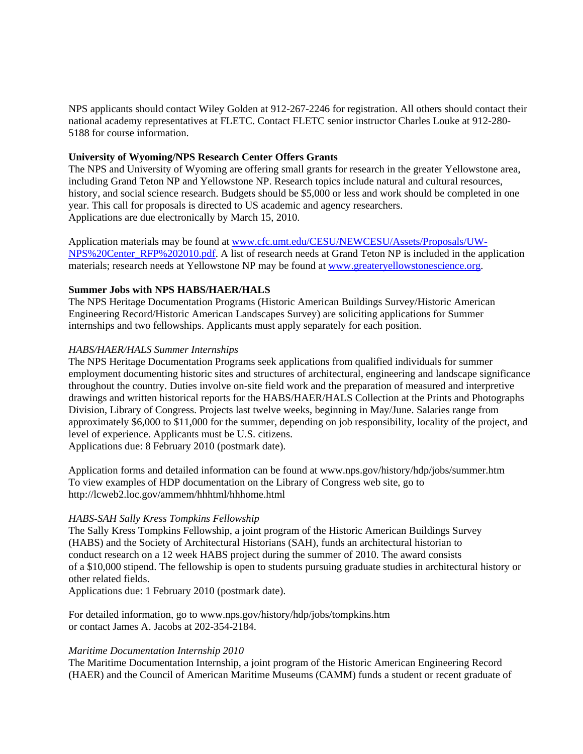NPS applicants should contact Wiley Golden at 912-267-2246 for registration. All others should contact their national academy representatives at FLETC. Contact FLETC senior instructor Charles Louke at 912-280- 5188 for course information.

### **University of Wyoming/NPS Research Center Offers Grants**

The NPS and University of Wyoming are offering small grants for research in the greater Yellowstone area, including Grand Teton NP and Yellowstone NP. Research topics include natural and cultural resources, history, and social science research. Budgets should be \$5,000 or less and work should be completed in one year. This call for proposals is directed to US academic and agency researchers. Applications are due electronically by March 15, 2010.

Application materials may be found at www.cfc.umt.edu/CESU/NEWCESU/Assets/Proposals/UW-NPS%20Center\_RFP%202010.pdf. A list of research needs at Grand Teton NP is included in the application materials; research needs at Yellowstone NP may be found at www.greateryellowstonescience.org.

#### **Summer Jobs with NPS HABS/HAER/HALS**

The NPS Heritage Documentation Programs (Historic American Buildings Survey/Historic American Engineering Record/Historic American Landscapes Survey) are soliciting applications for Summer internships and two fellowships. Applicants must apply separately for each position.

#### *HABS/HAER/HALS Summer Internships*

The NPS Heritage Documentation Programs seek applications from qualified individuals for summer employment documenting historic sites and structures of architectural, engineering and landscape significance throughout the country. Duties involve on-site field work and the preparation of measured and interpretive drawings and written historical reports for the HABS/HAER/HALS Collection at the Prints and Photographs Division, Library of Congress. Projects last twelve weeks, beginning in May/June. Salaries range from approximately \$6,000 to \$11,000 for the summer, depending on job responsibility, locality of the project, and level of experience. Applicants must be U.S. citizens.

Applications due: 8 February 2010 (postmark date).

Application forms and detailed information can be found at www.nps.gov/history/hdp/jobs/summer.htm To view examples of HDP documentation on the Library of Congress web site, go to http://lcweb2.loc.gov/ammem/hhhtml/hhhome.html

### *HABS-SAH Sally Kress Tompkins Fellowship*

The Sally Kress Tompkins Fellowship, a joint program of the Historic American Buildings Survey (HABS) and the Society of Architectural Historians (SAH), funds an architectural historian to conduct research on a 12 week HABS project during the summer of 2010. The award consists of a \$10,000 stipend. The fellowship is open to students pursuing graduate studies in architectural history or other related fields.

Applications due: 1 February 2010 (postmark date).

For detailed information, go to www.nps.gov/history/hdp/jobs/tompkins.htm or contact James A. Jacobs at 202-354-2184.

#### *Maritime Documentation Internship 2010*

The Maritime Documentation Internship, a joint program of the Historic American Engineering Record (HAER) and the Council of American Maritime Museums (CAMM) funds a student or recent graduate of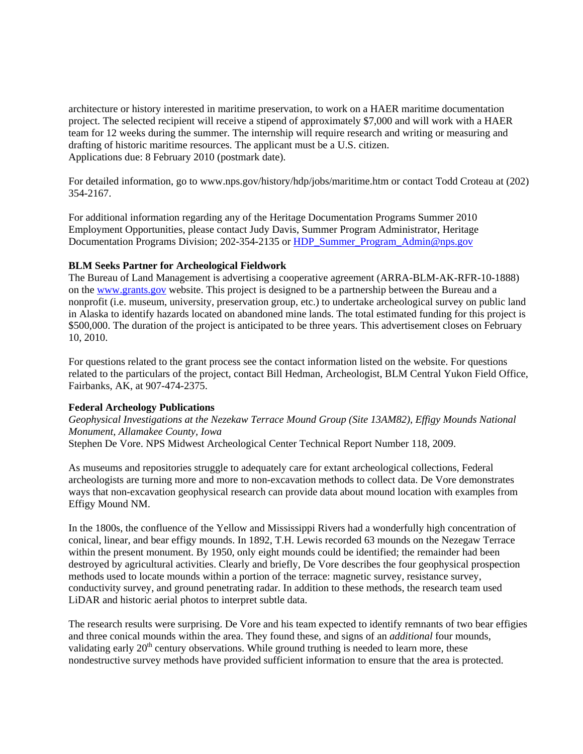architecture or history interested in maritime preservation, to work on a HAER maritime documentation project. The selected recipient will receive a stipend of approximately \$7,000 and will work with a HAER team for 12 weeks during the summer. The internship will require research and writing or measuring and drafting of historic maritime resources. The applicant must be a U.S. citizen. Applications due: 8 February 2010 (postmark date).

For detailed information, go to www.nps.gov/history/hdp/jobs/maritime.htm or contact Todd Croteau at (202) 354-2167.

For additional information regarding any of the Heritage Documentation Programs Summer 2010 Employment Opportunities, please contact Judy Davis, Summer Program Administrator, Heritage Documentation Programs Division; 202-354-2135 or HDP\_Summer\_Program\_Admin@nps.gov

#### **BLM Seeks Partner for Archeological Fieldwork**

The Bureau of Land Management is advertising a cooperative agreement (ARRA-BLM-AK-RFR-10-1888) on the www.grants.gov website. This project is designed to be a partnership between the Bureau and a nonprofit (i.e. museum, university, preservation group, etc.) to undertake archeological survey on public land in Alaska to identify hazards located on abandoned mine lands. The total estimated funding for this project is \$500,000. The duration of the project is anticipated to be three years. This advertisement closes on February 10, 2010.

For questions related to the grant process see the contact information listed on the website. For questions related to the particulars of the project, contact Bill Hedman, Archeologist, BLM Central Yukon Field Office, Fairbanks, AK, at 907-474-2375.

### **Federal Archeology Publications**

*Geophysical Investigations at the Nezekaw Terrace Mound Group (Site 13AM82), Effigy Mounds National Monument, Allamakee County, Iowa* Stephen De Vore. NPS Midwest Archeological Center Technical Report Number 118, 2009.

As museums and repositories struggle to adequately care for extant archeological collections, Federal archeologists are turning more and more to non-excavation methods to collect data. De Vore demonstrates ways that non-excavation geophysical research can provide data about mound location with examples from Effigy Mound NM.

In the 1800s, the confluence of the Yellow and Mississippi Rivers had a wonderfully high concentration of conical, linear, and bear effigy mounds. In 1892, T.H. Lewis recorded 63 mounds on the Nezegaw Terrace within the present monument. By 1950, only eight mounds could be identified; the remainder had been destroyed by agricultural activities. Clearly and briefly, De Vore describes the four geophysical prospection methods used to locate mounds within a portion of the terrace: magnetic survey, resistance survey, conductivity survey, and ground penetrating radar. In addition to these methods, the research team used LiDAR and historic aerial photos to interpret subtle data.

The research results were surprising. De Vore and his team expected to identify remnants of two bear effigies and three conical mounds within the area. They found these, and signs of an *additional* four mounds, validating early  $20<sup>th</sup>$  century observations. While ground truthing is needed to learn more, these nondestructive survey methods have provided sufficient information to ensure that the area is protected.